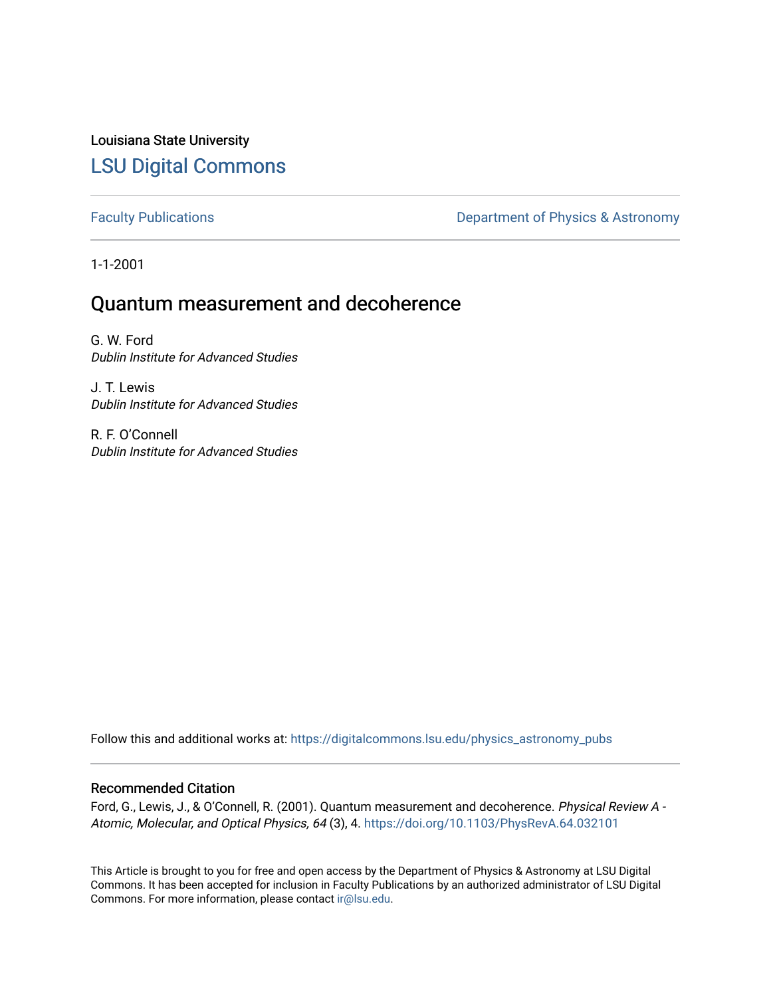Louisiana State University [LSU Digital Commons](https://digitalcommons.lsu.edu/)

[Faculty Publications](https://digitalcommons.lsu.edu/physics_astronomy_pubs) **Exercise 2 and Table 2 and Table 2 and Table 2 and Table 2 and Table 2 and Table 2 and Table 2 and Table 2 and Table 2 and Table 2 and Table 2 and Table 2 and Table 2 and Table 2 and Table 2 and Table** 

1-1-2001

# Quantum measurement and decoherence

G. W. Ford Dublin Institute for Advanced Studies

J. T. Lewis Dublin Institute for Advanced Studies

R. F. O'Connell Dublin Institute for Advanced Studies

Follow this and additional works at: [https://digitalcommons.lsu.edu/physics\\_astronomy\\_pubs](https://digitalcommons.lsu.edu/physics_astronomy_pubs?utm_source=digitalcommons.lsu.edu%2Fphysics_astronomy_pubs%2F3917&utm_medium=PDF&utm_campaign=PDFCoverPages) 

#### Recommended Citation

Ford, G., Lewis, J., & O'Connell, R. (2001). Quantum measurement and decoherence. Physical Review A -Atomic, Molecular, and Optical Physics, 64 (3), 4.<https://doi.org/10.1103/PhysRevA.64.032101>

This Article is brought to you for free and open access by the Department of Physics & Astronomy at LSU Digital Commons. It has been accepted for inclusion in Faculty Publications by an authorized administrator of LSU Digital Commons. For more information, please contact [ir@lsu.edu](mailto:ir@lsu.edu).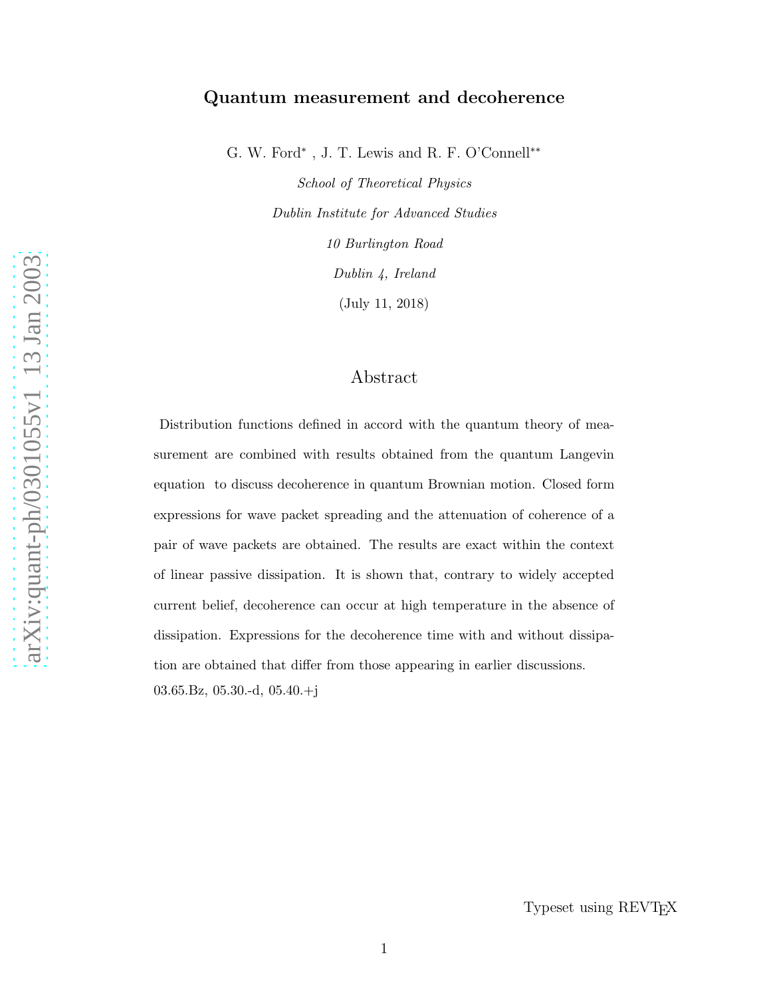## Quantum measurement and decoherence

G. W. Ford<sup>\*</sup>, J. T. Lewis and R. F. O'Connell<sup>\*\*</sup>

School of Theoretical Physics Dublin Institute for Advanced Studies 10 Burlington Road Dublin 4, Ireland (July 11, 2018)

### Abstract

Distribution functions defined in accord with the quantum theory of measurement are combined with results obtained from the quantum Langevin equation to discuss decoherence in quantum Brownian motion. Closed form expressions for wave packet spreading and the attenuation of coherence of a pair of wave packets are obtained. The results are exact within the context of linear passive dissipation. It is shown that, contrary to widely accepted current belief, decoherence can occur at high temperature in the absence of dissipation. Expressions for the decoherence time with and without dissipation are obtained that differ from those appearing in earlier discussions. 03.65.Bz, 05.30.-d, 05.40.+j

Typeset using REVTEX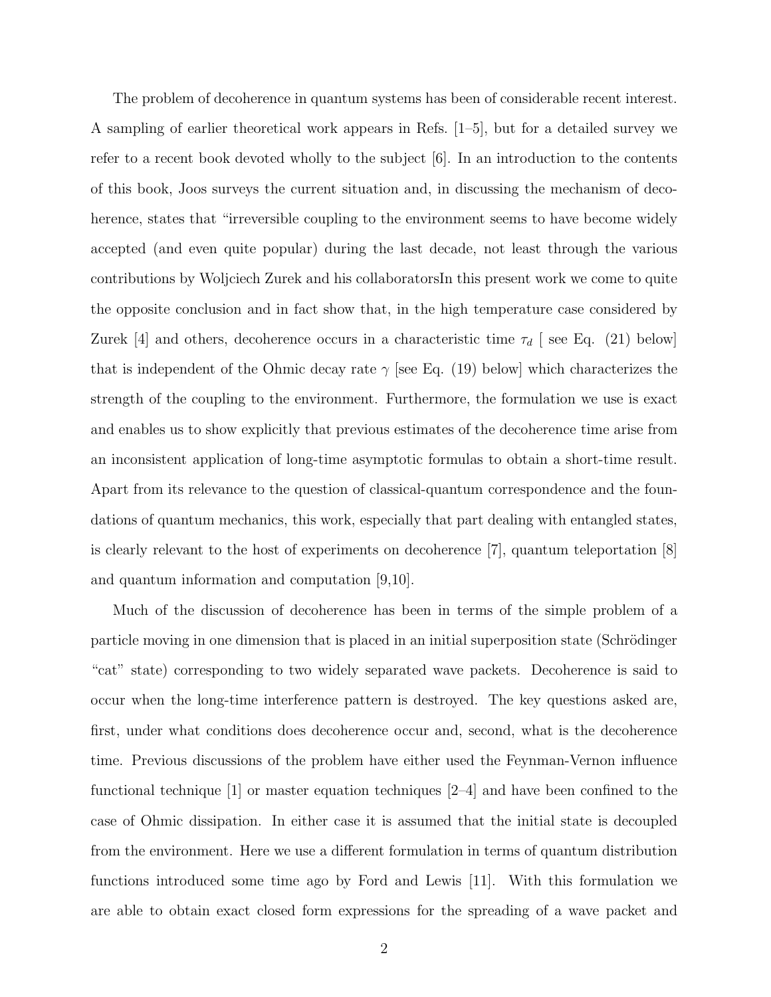The problem of decoherence in quantum systems has been of considerable recent interest. A sampling of earlier theoretical work appears in Refs. [1–5], but for a detailed survey we refer to a recent book devoted wholly to the subject [6]. In an introduction to the contents of this book, Joos surveys the current situation and, in discussing the mechanism of decoherence, states that "irreversible coupling to the environment seems to have become widely accepted (and even quite popular) during the last decade, not least through the various contributions by Woljciech Zurek and his collaboratorsIn this present work we come to quite the opposite conclusion and in fact show that, in the high temperature case considered by Zurek [4] and others, decoherence occurs in a characteristic time  $\tau_d$  [ see Eq. (21) below] that is independent of the Ohmic decay rate  $\gamma$  [see Eq. (19) below] which characterizes the strength of the coupling to the environment. Furthermore, the formulation we use is exact and enables us to show explicitly that previous estimates of the decoherence time arise from an inconsistent application of long-time asymptotic formulas to obtain a short-time result. Apart from its relevance to the question of classical-quantum correspondence and the foundations of quantum mechanics, this work, especially that part dealing with entangled states, is clearly relevant to the host of experiments on decoherence [7], quantum teleportation [8] and quantum information and computation [9,10].

Much of the discussion of decoherence has been in terms of the simple problem of a particle moving in one dimension that is placed in an initial superposition state (Schrödinger "cat" state) corresponding to two widely separated wave packets. Decoherence is said to occur when the long-time interference pattern is destroyed. The key questions asked are, first, under what conditions does decoherence occur and, second, what is the decoherence time. Previous discussions of the problem have either used the Feynman-Vernon influence functional technique [1] or master equation techniques [2–4] and have been confined to the case of Ohmic dissipation. In either case it is assumed that the initial state is decoupled from the environment. Here we use a different formulation in terms of quantum distribution functions introduced some time ago by Ford and Lewis [11]. With this formulation we are able to obtain exact closed form expressions for the spreading of a wave packet and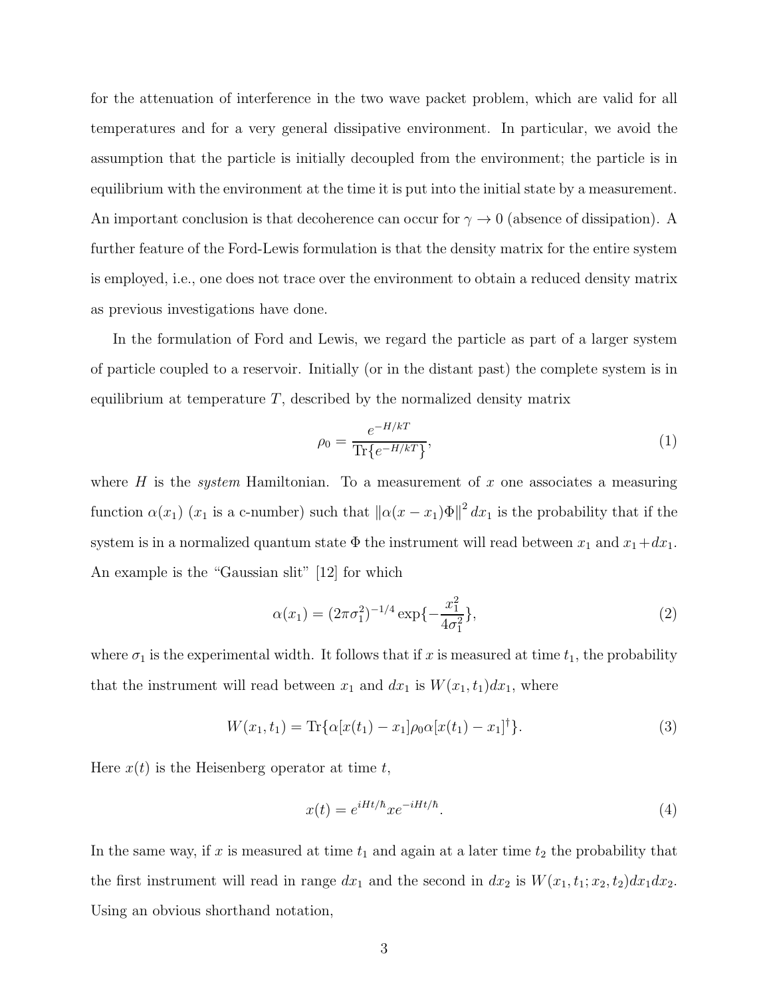for the attenuation of interference in the two wave packet problem, which are valid for all temperatures and for a very general dissipative environment. In particular, we avoid the assumption that the particle is initially decoupled from the environment; the particle is in equilibrium with the environment at the time it is put into the initial state by a measurement. An important conclusion is that decoherence can occur for  $\gamma \to 0$  (absence of dissipation). A further feature of the Ford-Lewis formulation is that the density matrix for the entire system is employed, i.e., one does not trace over the environment to obtain a reduced density matrix as previous investigations have done.

In the formulation of Ford and Lewis, we regard the particle as part of a larger system of particle coupled to a reservoir. Initially (or in the distant past) the complete system is in equilibrium at temperature  $T$ , described by the normalized density matrix

$$
\rho_0 = \frac{e^{-H/kT}}{\text{Tr}\{e^{-H/kT}\}},\tag{1}
$$

where  $H$  is the *system* Hamiltonian. To a measurement of  $x$  one associates a measuring function  $\alpha(x_1)$  ( $x_1$  is a c-number) such that  $\|\alpha(x - x_1)\Phi\|^2 dx_1$  is the probability that if the system is in a normalized quantum state  $\Phi$  the instrument will read between  $x_1$  and  $x_1+dx_1$ . An example is the "Gaussian slit" [12] for which

$$
\alpha(x_1) = (2\pi\sigma_1^2)^{-1/4} \exp\{-\frac{x_1^2}{4\sigma_1^2}\},\tag{2}
$$

where  $\sigma_1$  is the experimental width. It follows that if x is measured at time  $t_1$ , the probability that the instrument will read between  $x_1$  and  $dx_1$  is  $W(x_1, t_1)dx_1$ , where

$$
W(x_1, t_1) = \text{Tr}\{\alpha[x(t_1) - x_1]\rho_0\alpha[x(t_1) - x_1]^{\dagger}\}.
$$
\n(3)

Here  $x(t)$  is the Heisenberg operator at time t,

$$
x(t) = e^{iHt/\hbar} x e^{-iHt/\hbar}.
$$
\n(4)

In the same way, if x is measured at time  $t_1$  and again at a later time  $t_2$  the probability that the first instrument will read in range  $dx_1$  and the second in  $dx_2$  is  $W(x_1, t_1; x_2, t_2)dx_1dx_2$ . Using an obvious shorthand notation,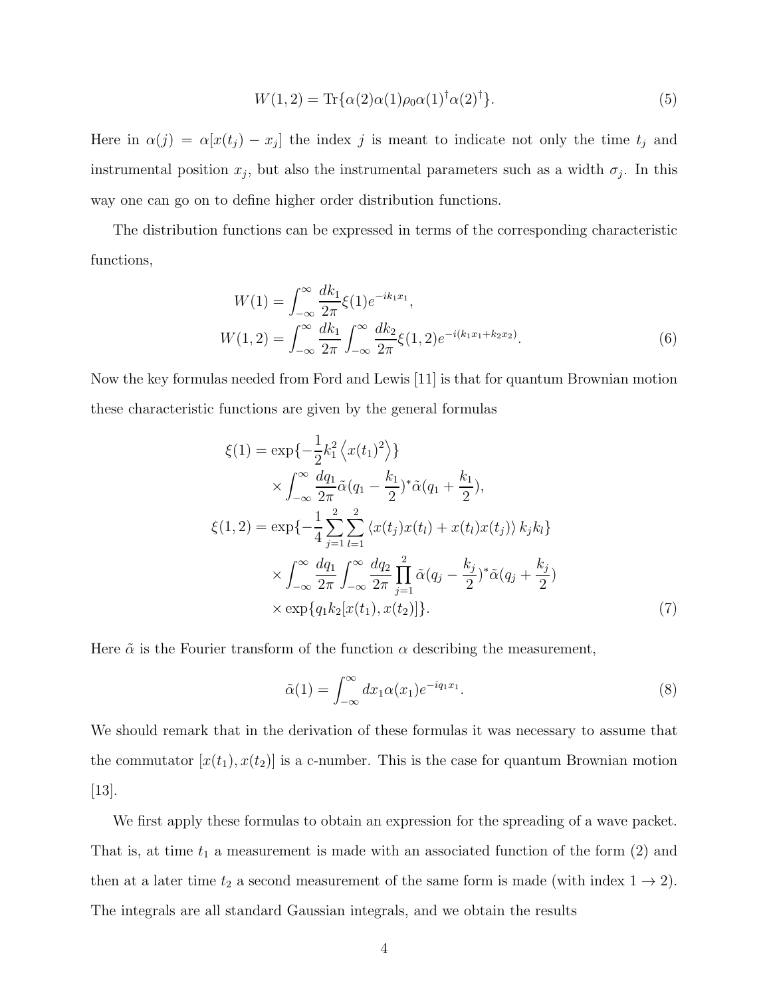$$
W(1,2) = \text{Tr}\{\alpha(2)\alpha(1)\rho_0\alpha(1)^{\dagger}\alpha(2)^{\dagger}\}.
$$
 (5)

Here in  $\alpha(j) = \alpha[x(t_j) - x_j]$  the index j is meant to indicate not only the time  $t_j$  and instrumental position  $x_j$ , but also the instrumental parameters such as a width  $\sigma_j$ . In this way one can go on to define higher order distribution functions.

The distribution functions can be expressed in terms of the corresponding characteristic functions,

$$
W(1) = \int_{-\infty}^{\infty} \frac{dk_1}{2\pi} \xi(1) e^{-ik_1x_1},
$$
  
\n
$$
W(1,2) = \int_{-\infty}^{\infty} \frac{dk_1}{2\pi} \int_{-\infty}^{\infty} \frac{dk_2}{2\pi} \xi(1,2) e^{-i(k_1x_1 + k_2x_2)}.
$$
\n(6)

Now the key formulas needed from Ford and Lewis [11] is that for quantum Brownian motion these characteristic functions are given by the general formulas

$$
\xi(1) = \exp\{-\frac{1}{2}k_1^2 \langle x(t_1)^2 \rangle\} \times \int_{-\infty}^{\infty} \frac{dq_1}{2\pi} \tilde{\alpha}(q_1 - \frac{k_1}{2})^* \tilde{\alpha}(q_1 + \frac{k_1}{2}), \n\xi(1,2) = \exp\{-\frac{1}{4} \sum_{j=1}^2 \sum_{l=1}^2 \langle x(t_j)x(t_l) + x(t_l)x(t_j) \rangle k_j k_l\} \times \int_{-\infty}^{\infty} \frac{dq_1}{2\pi} \int_{-\infty}^{\infty} \frac{dq_2}{2\pi} \prod_{j=1}^2 \tilde{\alpha}(q_j - \frac{k_j}{2})^* \tilde{\alpha}(q_j + \frac{k_j}{2}) \times \exp\{q_1 k_2[x(t_1), x(t_2)]\}.
$$
\n(7)

Here  $\tilde{\alpha}$  is the Fourier transform of the function  $\alpha$  describing the measurement,

$$
\tilde{\alpha}(1) = \int_{-\infty}^{\infty} dx_1 \alpha(x_1) e^{-iq_1 x_1}.
$$
\n(8)

We should remark that in the derivation of these formulas it was necessary to assume that the commutator  $[x(t_1), x(t_2)]$  is a c-number. This is the case for quantum Brownian motion [13].

We first apply these formulas to obtain an expression for the spreading of a wave packet. That is, at time  $t_1$  a measurement is made with an associated function of the form  $(2)$  and then at a later time  $t_2$  a second measurement of the same form is made (with index  $1 \rightarrow 2$ ). The integrals are all standard Gaussian integrals, and we obtain the results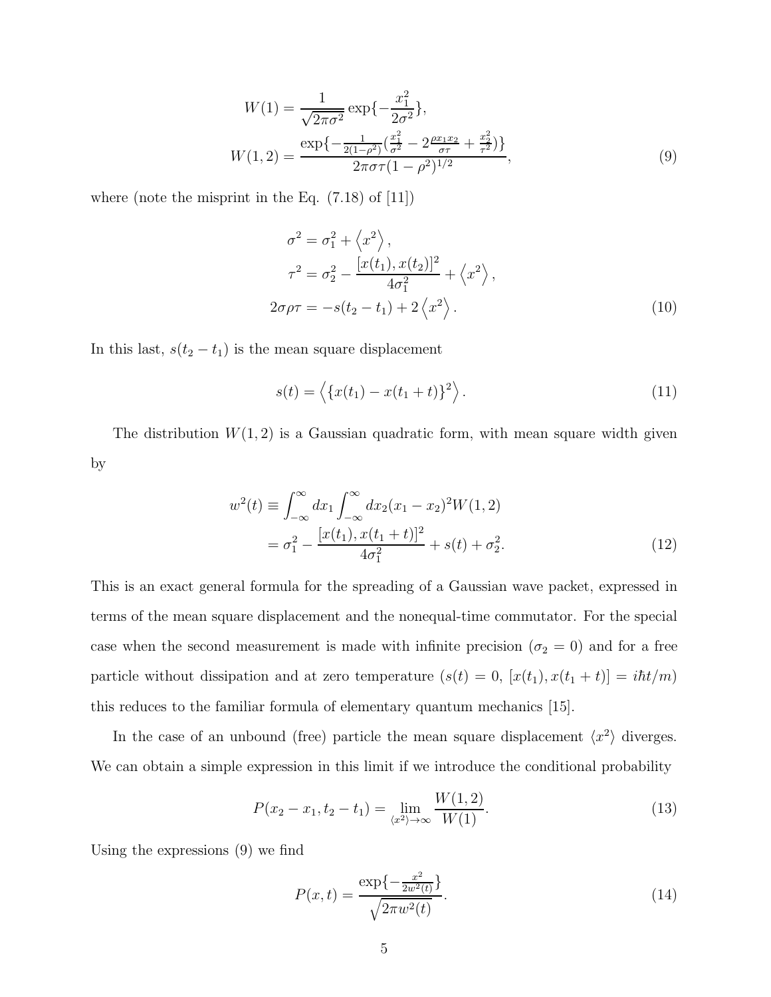$$
W(1) = \frac{1}{\sqrt{2\pi\sigma^2}} \exp\left\{-\frac{x_1^2}{2\sigma^2}\right\},
$$
  
\n
$$
W(1,2) = \frac{\exp\left\{-\frac{1}{2(1-\rho^2)}\left(\frac{x_1^2}{\sigma^2} - 2\frac{\rho x_1 x_2}{\sigma\tau} + \frac{x_2^2}{\tau^2}\right)\right\}}{2\pi\sigma\tau(1-\rho^2)^{1/2}},
$$
\n(9)

where (note the misprint in the Eq.  $(7.18)$  of  $[11]$ )

$$
\sigma^2 = \sigma_1^2 + \langle x^2 \rangle,
$$
  
\n
$$
\tau^2 = \sigma_2^2 - \frac{[x(t_1), x(t_2)]^2}{4\sigma_1^2} + \langle x^2 \rangle,
$$
  
\n
$$
2\sigma \rho \tau = -s(t_2 - t_1) + 2\langle x^2 \rangle.
$$
\n(10)

In this last,  $s(t_2 - t_1)$  is the mean square displacement

$$
s(t) = \left\langle \left\{ x(t_1) - x(t_1 + t) \right\}^2 \right\rangle. \tag{11}
$$

The distribution  $W(1, 2)$  is a Gaussian quadratic form, with mean square width given by

$$
w^{2}(t) \equiv \int_{-\infty}^{\infty} dx_{1} \int_{-\infty}^{\infty} dx_{2} (x_{1} - x_{2})^{2} W(1, 2)
$$

$$
= \sigma_{1}^{2} - \frac{[x(t_{1}), x(t_{1} + t)]^{2}}{4\sigma_{1}^{2}} + s(t) + \sigma_{2}^{2}.
$$
(12)

This is an exact general formula for the spreading of a Gaussian wave packet, expressed in terms of the mean square displacement and the nonequal-time commutator. For the special case when the second measurement is made with infinite precision ( $\sigma_2 = 0$ ) and for a free particle without dissipation and at zero temperature  $(s(t) = 0, [x(t_1), x(t_1 + t)] = i\hbar t/m$ this reduces to the familiar formula of elementary quantum mechanics [15].

In the case of an unbound (free) particle the mean square displacement  $\langle x^2 \rangle$  diverges. We can obtain a simple expression in this limit if we introduce the conditional probability

$$
P(x_2 - x_1, t_2 - t_1) = \lim_{\langle x^2 \rangle \to \infty} \frac{W(1, 2)}{W(1)}.
$$
\n(13)

Using the expressions (9) we find

$$
P(x,t) = \frac{\exp\{-\frac{x^2}{2w^2(t)}\}}{\sqrt{2\pi w^2(t)}}.
$$
\n(14)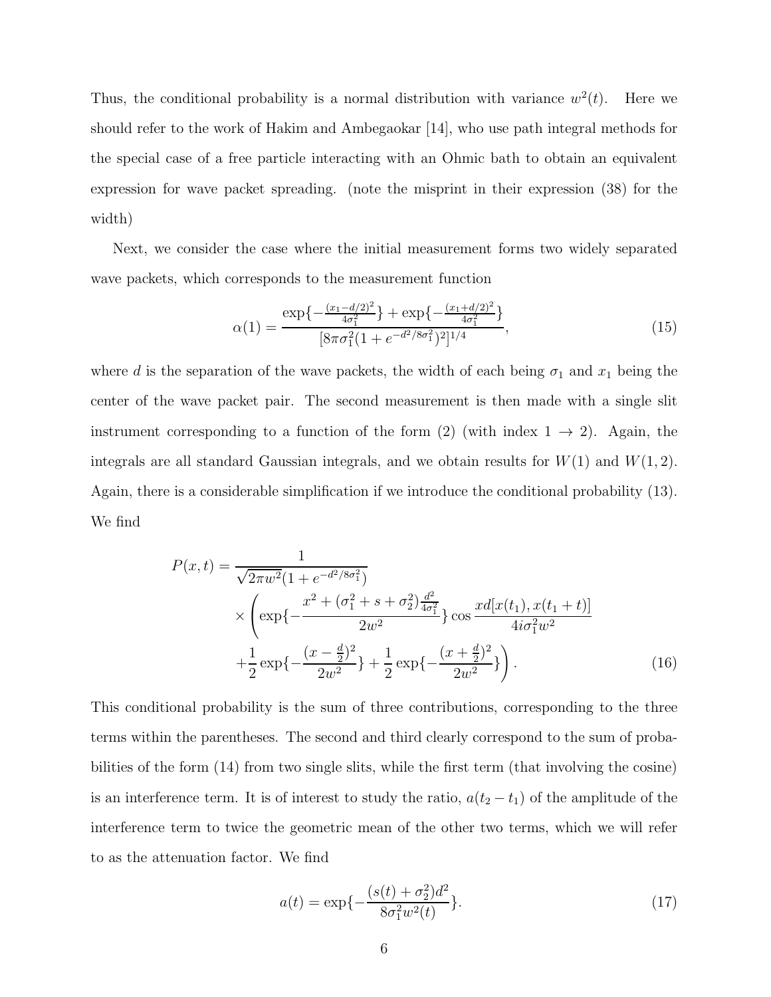Thus, the conditional probability is a normal distribution with variance  $w^2$ Here we should refer to the work of Hakim and Ambegaokar [14], who use path integral methods for the special case of a free particle interacting with an Ohmic bath to obtain an equivalent expression for wave packet spreading. (note the misprint in their expression (38) for the width)

Next, we consider the case where the initial measurement forms two widely separated wave packets, which corresponds to the measurement function

$$
\alpha(1) = \frac{\exp\left\{-\frac{(x_1 - d/2)^2}{4\sigma_1^2}\right\} + \exp\left\{-\frac{(x_1 + d/2)^2}{4\sigma_1^2}\right\}}{[8\pi\sigma_1^2(1 + e^{-d^2/8\sigma_1^2})^2]^{1/4}},
$$
\n(15)

where d is the separation of the wave packets, the width of each being  $\sigma_1$  and  $x_1$  being the center of the wave packet pair. The second measurement is then made with a single slit instrument corresponding to a function of the form (2) (with index  $1 \rightarrow 2$ ). Again, the integrals are all standard Gaussian integrals, and we obtain results for  $W(1)$  and  $W(1, 2)$ . Again, there is a considerable simplification if we introduce the conditional probability (13). We find

$$
P(x,t) = \frac{1}{\sqrt{2\pi w^2} (1 + e^{-d^2/8\sigma_1^2})}
$$
  
 
$$
\times \left( \exp\left\{ -\frac{x^2 + (\sigma_1^2 + s + \sigma_2^2) \frac{d^2}{4\sigma_1^2}}{2w^2} \right\} \cos \frac{x d[x(t_1), x(t_1 + t)]}{4i\sigma_1^2 w^2} + \frac{1}{2} \exp\left\{ -\frac{(x - \frac{d}{2})^2}{2w^2} \right\} + \frac{1}{2} \exp\left\{ -\frac{(x + \frac{d}{2})^2}{2w^2} \right\} \right). \tag{16}
$$

This conditional probability is the sum of three contributions, corresponding to the three terms within the parentheses. The second and third clearly correspond to the sum of probabilities of the form (14) from two single slits, while the first term (that involving the cosine) is an interference term. It is of interest to study the ratio,  $a(t_2 - t_1)$  of the amplitude of the interference term to twice the geometric mean of the other two terms, which we will refer to as the attenuation factor. We find

$$
a(t) = \exp\{-\frac{(s(t) + \sigma_2^2)d^2}{8\sigma_1^2 w^2(t)}\}.
$$
\n(17)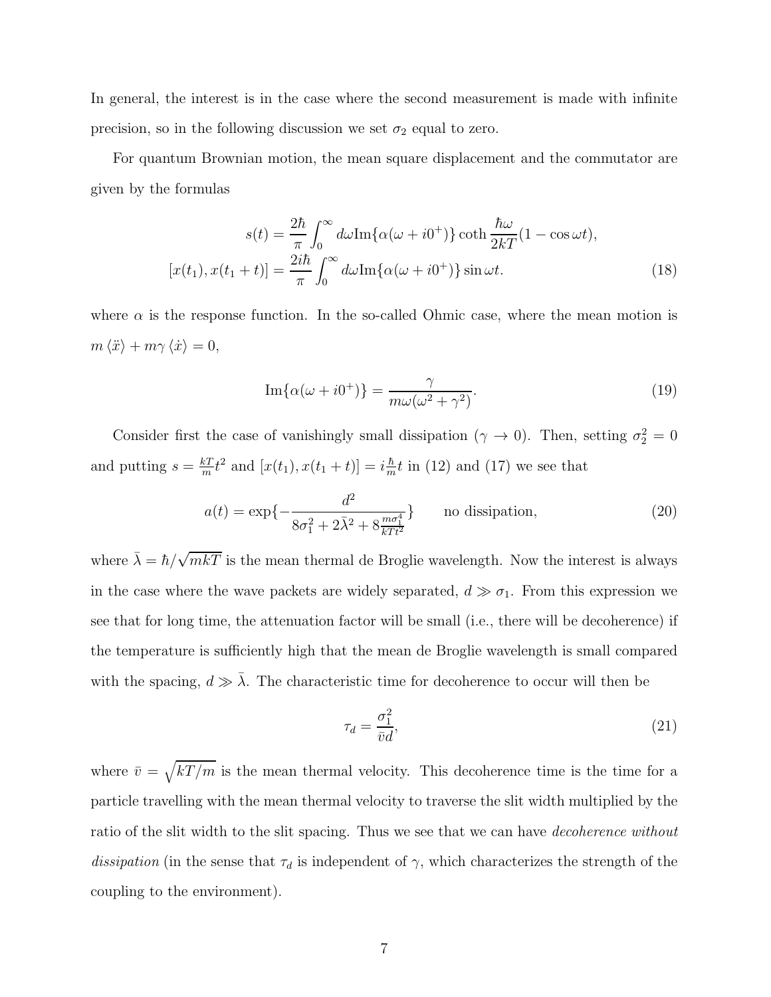In general, the interest is in the case where the second measurement is made with infinite precision, so in the following discussion we set  $\sigma_2$  equal to zero.

For quantum Brownian motion, the mean square displacement and the commutator are given by the formulas

$$
s(t) = \frac{2\hbar}{\pi} \int_0^\infty d\omega \text{Im}\{\alpha(\omega + i0^+)\} \coth \frac{\hbar \omega}{2kT} (1 - \cos \omega t),
$$
  

$$
[x(t_1), x(t_1 + t)] = \frac{2i\hbar}{\pi} \int_0^\infty d\omega \text{Im}\{\alpha(\omega + i0^+)\} \sin \omega t.
$$
 (18)

where  $\alpha$  is the response function. In the so-called Ohmic case, where the mean motion is  $m \langle \ddot{x} \rangle + m \gamma \langle \dot{x} \rangle = 0,$ 

$$
\operatorname{Im}\{\alpha(\omega+i0^{+})\} = \frac{\gamma}{m\omega(\omega^2+\gamma^2)}.
$$
\n(19)

Consider first the case of vanishingly small dissipation ( $\gamma \to 0$ ). Then, setting  $\sigma_2^2 = 0$ and putting  $s = \frac{kT}{m}$  $\frac{kT}{m}t^2$  and  $[x(t_1), x(t_1 + t)] = i\frac{\hbar}{m}$  $\frac{h}{m}t$  in (12) and (17) we see that

$$
a(t) = \exp\left\{-\frac{d^2}{8\sigma_1^2 + 2\bar{\lambda}^2 + 8\frac{m\sigma_1^4}{kTt^2}}\right\}
$$
 no dissipation, (20)

where  $\bar{\lambda} = \hbar / \sqrt{mkT}$  is the mean thermal de Broglie wavelength. Now the interest is always in the case where the wave packets are widely separated,  $d \gg \sigma_1$ . From this expression we see that for long time, the attenuation factor will be small (i.e., there will be decoherence) if the temperature is sufficiently high that the mean de Broglie wavelength is small compared with the spacing,  $d \gg \bar{\lambda}$ . The characteristic time for decoherence to occur will then be

$$
\tau_d = \frac{\sigma_1^2}{\bar{v}d},\tag{21}
$$

where  $\bar{v} = \sqrt{kT/m}$  is the mean thermal velocity. This decoherence time is the time for a particle travelling with the mean thermal velocity to traverse the slit width multiplied by the ratio of the slit width to the slit spacing. Thus we see that we can have *decoherence without* dissipation (in the sense that  $\tau_d$  is independent of  $\gamma$ , which characterizes the strength of the coupling to the environment).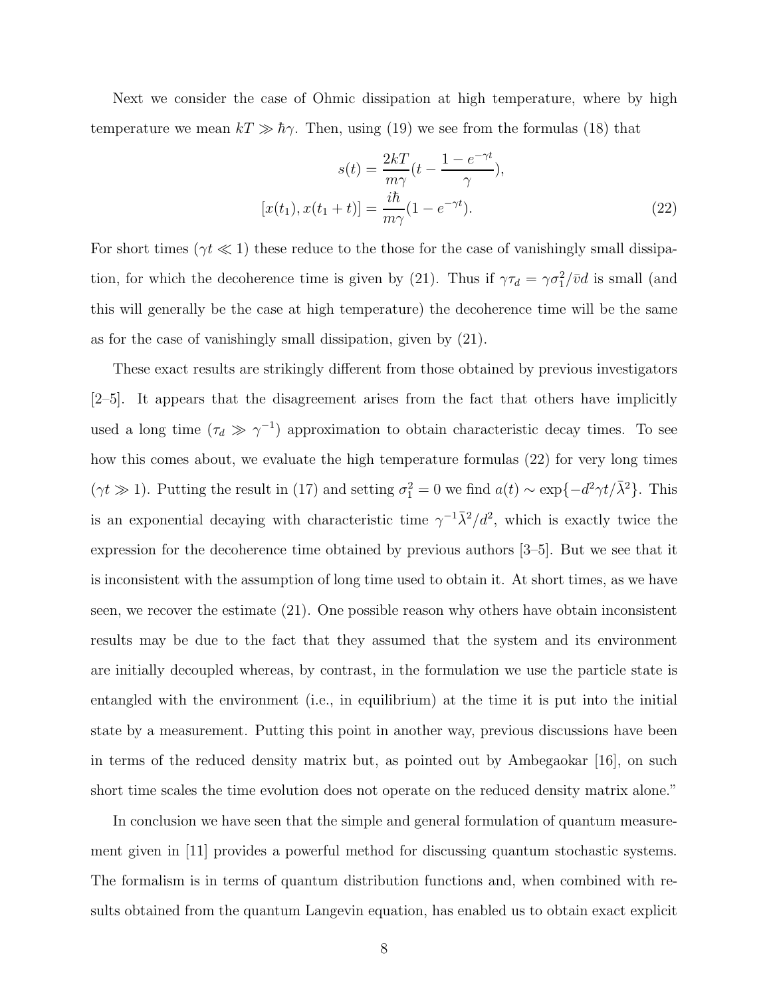Next we consider the case of Ohmic dissipation at high temperature, where by high temperature we mean  $kT \gg \hbar \gamma$ . Then, using (19) we see from the formulas (18) that

$$
s(t) = \frac{2kT}{m\gamma}(t - \frac{1 - e^{-\gamma t}}{\gamma}),
$$
  
\n
$$
[x(t_1), x(t_1 + t)] = \frac{i\hbar}{m\gamma}(1 - e^{-\gamma t}).
$$
\n(22)

For short times ( $\gamma t \ll 1$ ) these reduce to the those for the case of vanishingly small dissipation, for which the decoherence time is given by (21). Thus if  $\gamma \tau_d = \gamma \sigma_1^2 / \bar{v} d$  is small (and this will generally be the case at high temperature) the decoherence time will be the same as for the case of vanishingly small dissipation, given by (21).

These exact results are strikingly different from those obtained by previous investigators [2–5]. It appears that the disagreement arises from the fact that others have implicitly used a long time  $(\tau_d \gg \gamma^{-1})$  approximation to obtain characteristic decay times. To see how this comes about, we evaluate the high temperature formulas (22) for very long times  $(\gamma t \gg 1)$ . Putting the result in (17) and setting  $\sigma_1^2 = 0$  we find  $a(t) \sim \exp\{-d^2 \gamma t/\bar{\lambda}^2\}$ . This is an exponential decaying with characteristic time  $\gamma^{-1}\bar{\lambda}^2/d^2$ , which is exactly twice the expression for the decoherence time obtained by previous authors [3–5]. But we see that it is inconsistent with the assumption of long time used to obtain it. At short times, as we have seen, we recover the estimate (21). One possible reason why others have obtain inconsistent results may be due to the fact that they assumed that the system and its environment are initially decoupled whereas, by contrast, in the formulation we use the particle state is entangled with the environment (i.e., in equilibrium) at the time it is put into the initial state by a measurement. Putting this point in another way, previous discussions have been in terms of the reduced density matrix but, as pointed out by Ambegaokar [16], on such short time scales the time evolution does not operate on the reduced density matrix alone."

In conclusion we have seen that the simple and general formulation of quantum measurement given in [11] provides a powerful method for discussing quantum stochastic systems. The formalism is in terms of quantum distribution functions and, when combined with results obtained from the quantum Langevin equation, has enabled us to obtain exact explicit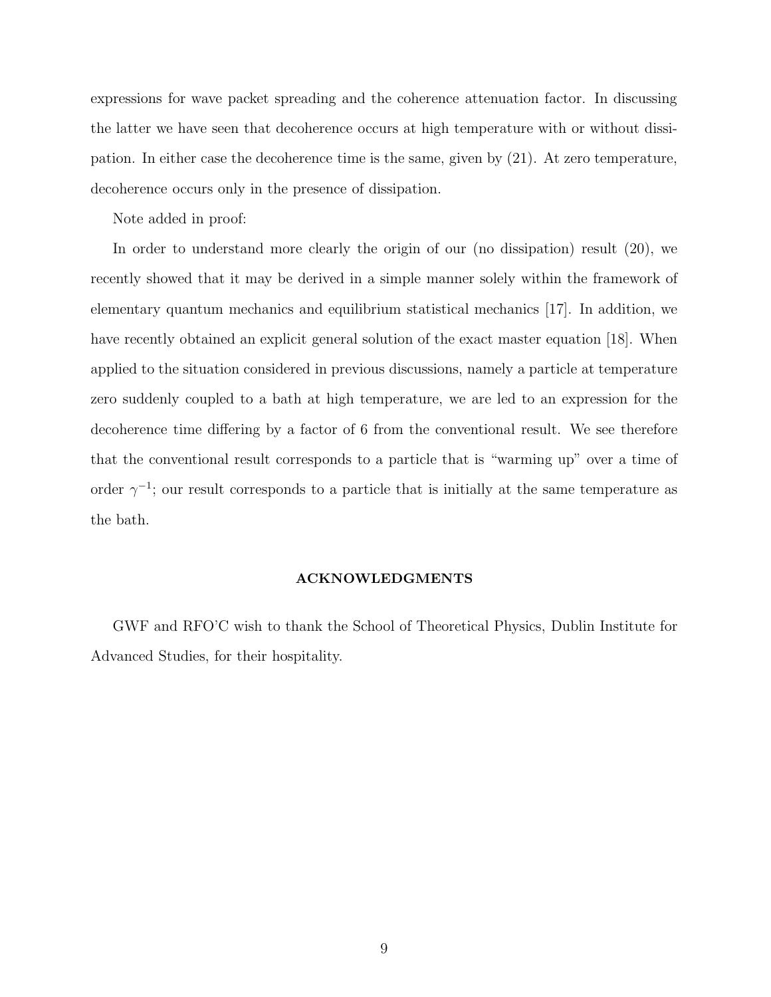expressions for wave packet spreading and the coherence attenuation factor. In discussing the latter we have seen that decoherence occurs at high temperature with or without dissipation. In either case the decoherence time is the same, given by (21). At zero temperature, decoherence occurs only in the presence of dissipation.

Note added in proof:

In order to understand more clearly the origin of our (no dissipation) result (20), we recently showed that it may be derived in a simple manner solely within the framework of elementary quantum mechanics and equilibrium statistical mechanics [17]. In addition, we have recently obtained an explicit general solution of the exact master equation [18]. When applied to the situation considered in previous discussions, namely a particle at temperature zero suddenly coupled to a bath at high temperature, we are led to an expression for the decoherence time differing by a factor of 6 from the conventional result. We see therefore that the conventional result corresponds to a particle that is "warming up" over a time of order  $\gamma^{-1}$ ; our result corresponds to a particle that is initially at the same temperature as the bath.

#### ACKNOWLEDGMENTS

GWF and RFO'C wish to thank the School of Theoretical Physics, Dublin Institute for Advanced Studies, for their hospitality.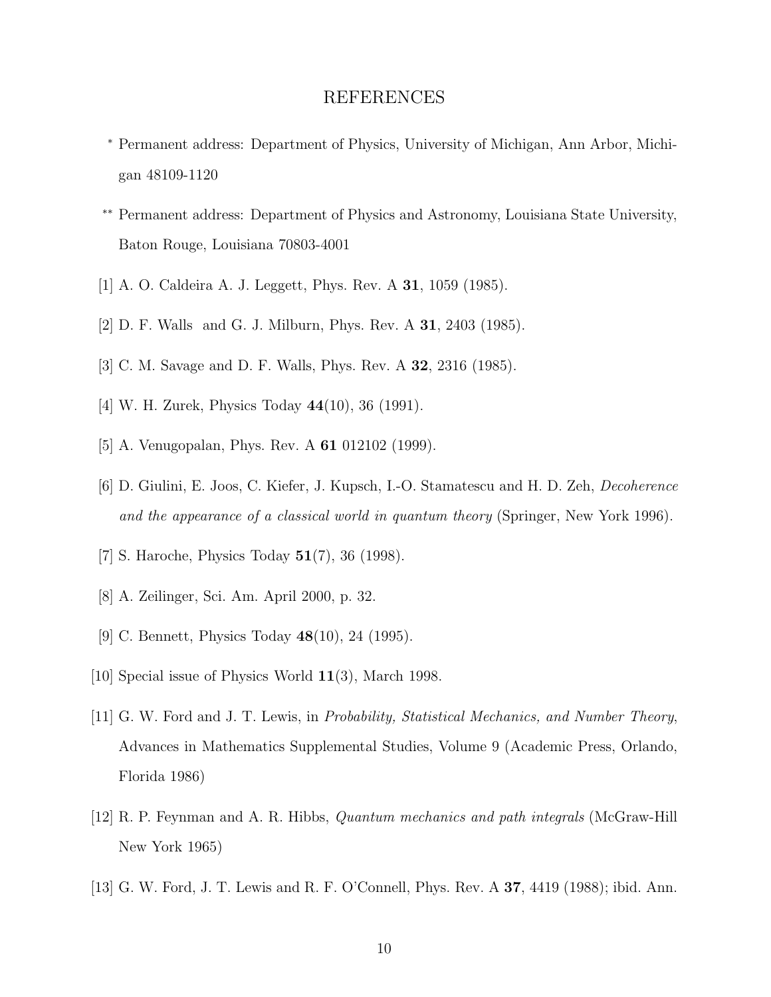### REFERENCES

- <sup>∗</sup> Permanent address: Department of Physics, University of Michigan, Ann Arbor, Michigan 48109-1120
- ∗∗ Permanent address: Department of Physics and Astronomy, Louisiana State University, Baton Rouge, Louisiana 70803-4001
- [1] A. O. Caldeira A. J. Leggett, Phys. Rev. A 31, 1059 (1985).
- [2] D. F. Walls and G. J. Milburn, Phys. Rev. A 31, 2403 (1985).
- [3] C. M. Savage and D. F. Walls, Phys. Rev. A 32, 2316 (1985).
- [4] W. H. Zurek, Physics Today 44(10), 36 (1991).
- [5] A. Venugopalan, Phys. Rev. A **61** 012102 (1999).
- [6] D. Giulini, E. Joos, C. Kiefer, J. Kupsch, I.-O. Stamatescu and H. D. Zeh, Decoherence and the appearance of a classical world in quantum theory (Springer, New York 1996).
- [7] S. Haroche, Physics Today 51(7), 36 (1998).
- [8] A. Zeilinger, Sci. Am. April 2000, p. 32.
- [9] C. Bennett, Physics Today **48**(10), 24 (1995).
- [10] Special issue of Physics World 11(3), March 1998.
- [11] G. W. Ford and J. T. Lewis, in Probability, Statistical Mechanics, and Number Theory, Advances in Mathematics Supplemental Studies, Volume 9 (Academic Press, Orlando, Florida 1986)
- [12] R. P. Feynman and A. R. Hibbs, Quantum mechanics and path integrals (McGraw-Hill New York 1965)
- [13] G. W. Ford, J. T. Lewis and R. F. O'Connell, Phys. Rev. A 37, 4419 (1988); ibid. Ann.